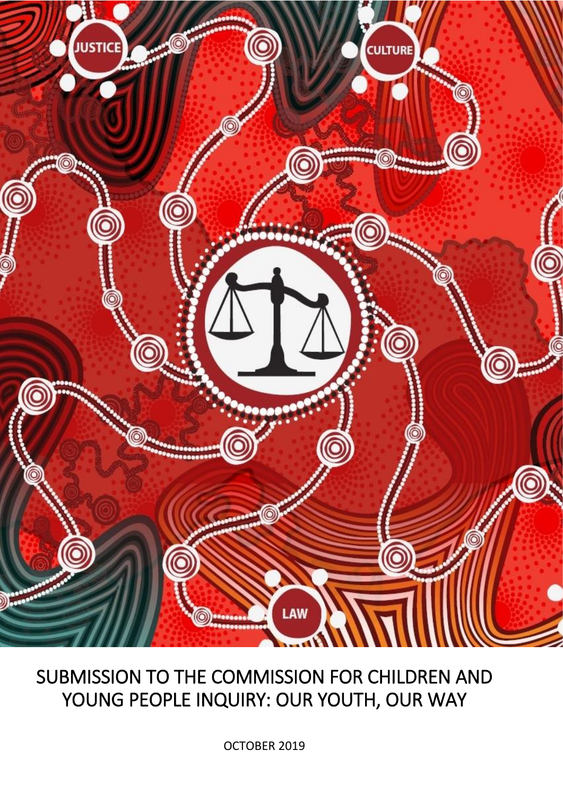

# SUBMISSION TO THE COMMISSION FOR CHILDREN AND YOUNG PEOPLE INQUIRY: OUR YOUTH, OUR WAY

OCTOBER 2019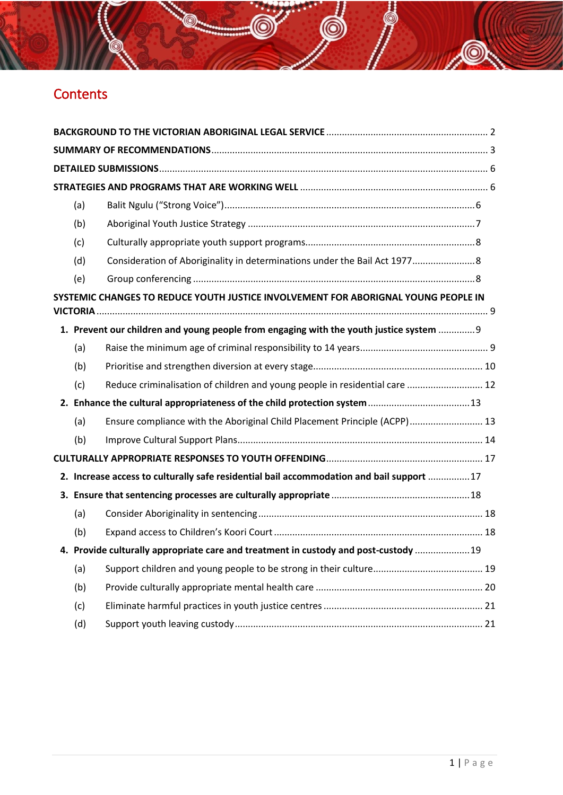## **Contents**

| (a)              |                                                                                          |  |
|------------------|------------------------------------------------------------------------------------------|--|
| (b)              |                                                                                          |  |
| (c)              |                                                                                          |  |
| (d)              | Consideration of Aboriginality in determinations under the Bail Act 1977 8               |  |
| (e)              |                                                                                          |  |
| <b>VICTORIA.</b> | SYSTEMIC CHANGES TO REDUCE YOUTH JUSTICE INVOLVEMENT FOR ABORIGNAL YOUNG PEOPLE IN       |  |
|                  | 1. Prevent our children and young people from engaging with the youth justice system  9  |  |
| (a)              |                                                                                          |  |
| (b)              |                                                                                          |  |
| (c)              | Reduce criminalisation of children and young people in residential care  12              |  |
|                  |                                                                                          |  |
| (a)              | Ensure compliance with the Aboriginal Child Placement Principle (ACPP) 13                |  |
| (b)              |                                                                                          |  |
|                  |                                                                                          |  |
|                  | 2. Increase access to culturally safe residential bail accommodation and bail support 17 |  |
|                  |                                                                                          |  |
| (a)              |                                                                                          |  |
| (b)              |                                                                                          |  |
|                  | 4. Provide culturally appropriate care and treatment in custody and post-custody  19     |  |
| (a)              |                                                                                          |  |
| (b)              |                                                                                          |  |
| (c)              |                                                                                          |  |
| (d)              |                                                                                          |  |

 $\circledcirc$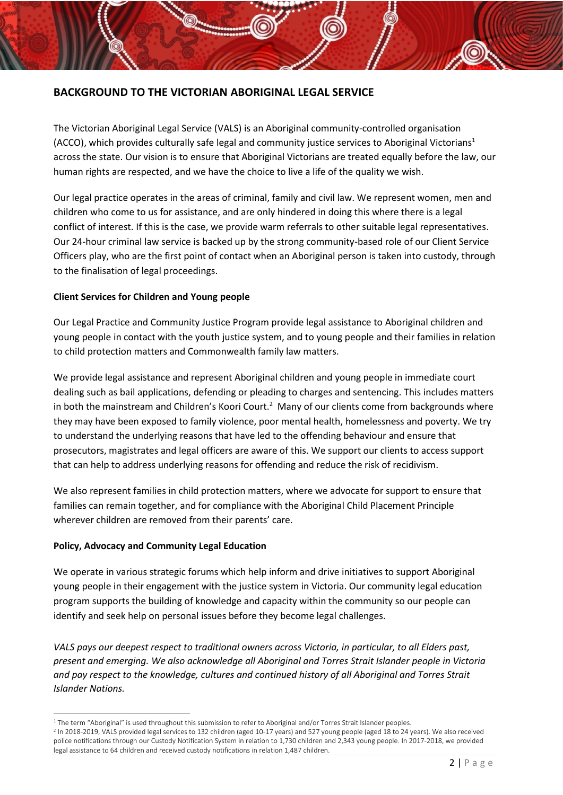## <span id="page-2-0"></span>**BACKGROUND TO THE VICTORIAN ABORIGINAL LEGAL SERVICE**

The Victorian Aboriginal Legal Service (VALS) is an Aboriginal community-controlled organisation (ACCO), which provides culturally safe legal and community justice services to Aboriginal Victorians<sup>1</sup> across the state. Our vision is to ensure that Aboriginal Victorians are treated equally before the law, our human rights are respected, and we have the choice to live a life of the quality we wish.

Our legal practice operates in the areas of criminal, family and civil law. We represent women, men and children who come to us for assistance, and are only hindered in doing this where there is a legal conflict of interest. If this is the case, we provide warm referrals to other suitable legal representatives. Our 24-hour criminal law service is backed up by the strong community-based role of our Client Service Officers play, who are the first point of contact when an Aboriginal person is taken into custody, through to the finalisation of legal proceedings.

## **Client Services for Children and Young people**

Our Legal Practice and Community Justice Program provide legal assistance to Aboriginal children and young people in contact with the youth justice system, and to young people and their families in relation to child protection matters and Commonwealth family law matters.

We provide legal assistance and represent Aboriginal children and young people in immediate court dealing such as bail applications, defending or pleading to charges and sentencing. This includes matters in both the mainstream and Children's Koori Court.<sup>2</sup> Many of our clients come from backgrounds where they may have been exposed to family violence, poor mental health, homelessness and poverty. We try to understand the underlying reasons that have led to the offending behaviour and ensure that prosecutors, magistrates and legal officers are aware of this. We support our clients to access support that can help to address underlying reasons for offending and reduce the risk of recidivism.

We also represent families in child protection matters, where we advocate for support to ensure that families can remain together, and for compliance with the Aboriginal Child Placement Principle wherever children are removed from their parents' care.

#### **Policy, Advocacy and Community Legal Education**

We operate in various strategic forums which help inform and drive initiatives to support Aboriginal young people in their engagement with the justice system in Victoria. Our community legal education program supports the building of knowledge and capacity within the community so our people can identify and seek help on personal issues before they become legal challenges.

*VALS pays our deepest respect to traditional owners across Victoria, in particular, to all Elders past, present and emerging. We also acknowledge all Aboriginal and Torres Strait Islander people in Victoria and pay respect to the knowledge, cultures and continued history of all Aboriginal and Torres Strait Islander Nations.* 

**<sup>.</sup>** <sup>1</sup> The term "Aboriginal" is used throughout this submission to refer to Aboriginal and/or Torres Strait Islander peoples.

<sup>2</sup> In 2018-2019, VALS provided legal services to 132 children (aged 10-17 years) and 527 young people (aged 18 to 24 years). We also received police notifications through our Custody Notification System in relation to 1,730 children and 2,343 young people. In 2017-2018, we provided legal assistance to 64 children and received custody notifications in relation 1,487 children.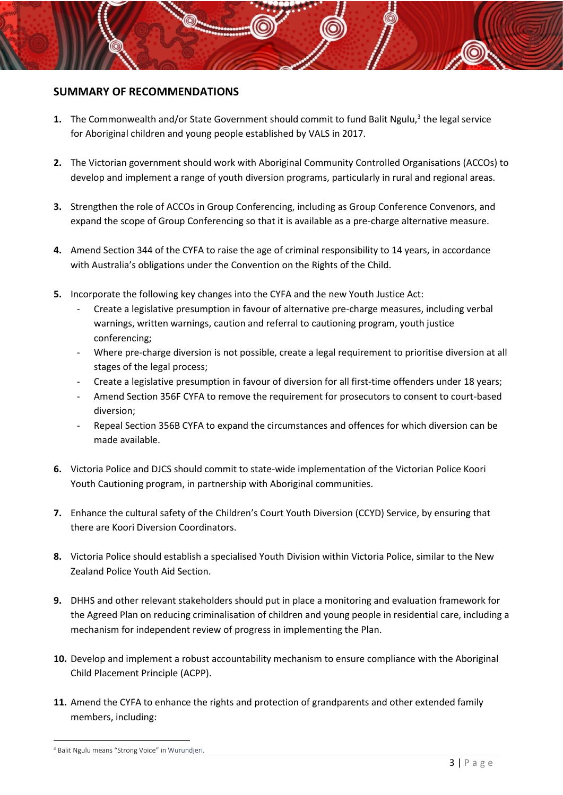## <span id="page-3-0"></span>**SUMMARY OF RECOMMENDATIONS**

- 1. The Commonwealth and/or State Government should commit to fund Balit Ngulu,<sup>3</sup> the legal service for Aboriginal children and young people established by VALS in 2017.
- **2.** The Victorian government should work with Aboriginal Community Controlled Organisations (ACCOs) to develop and implement a range of youth diversion programs, particularly in rural and regional areas.
- **3.** Strengthen the role of ACCOs in Group Conferencing, including as Group Conference Convenors, and expand the scope of Group Conferencing so that it is available as a pre-charge alternative measure.
- **4.** Amend Section 344 of the CYFA to raise the age of criminal responsibility to 14 years, in accordance with Australia's obligations under the Convention on the Rights of the Child.
- **5.** Incorporate the following key changes into the CYFA and the new Youth Justice Act:
	- Create a legislative presumption in favour of alternative pre-charge measures, including verbal warnings, written warnings, caution and referral to cautioning program, youth justice conferencing;
	- Where pre-charge diversion is not possible, create a legal requirement to prioritise diversion at all stages of the legal process;
	- Create a legislative presumption in favour of diversion for all first-time offenders under 18 years;
	- Amend Section 356F CYFA to remove the requirement for prosecutors to consent to court-based diversion;
	- Repeal Section 356B CYFA to expand the circumstances and offences for which diversion can be made available.
- **6.** Victoria Police and DJCS should commit to state-wide implementation of the Victorian Police Koori Youth Cautioning program, in partnership with Aboriginal communities.
- **7.** Enhance the cultural safety of the Children's Court Youth Diversion (CCYD) Service, by ensuring that there are Koori Diversion Coordinators.
- **8.** Victoria Police should establish a specialised Youth Division within Victoria Police, similar to the New Zealand Police Youth Aid Section.
- **9.** DHHS and other relevant stakeholders should put in place a monitoring and evaluation framework for the Agreed Plan on reducing criminalisation of children and young people in residential care, including a mechanism for independent review of progress in implementing the Plan.
- **10.** Develop and implement a robust accountability mechanism to ensure compliance with the Aboriginal Child Placement Principle (ACPP).
- **11.** Amend the CYFA to enhance the rights and protection of grandparents and other extended family members, including:

<sup>1</sup> <sup>3</sup> Balit Ngulu means "Strong Voice" in Wurundjeri.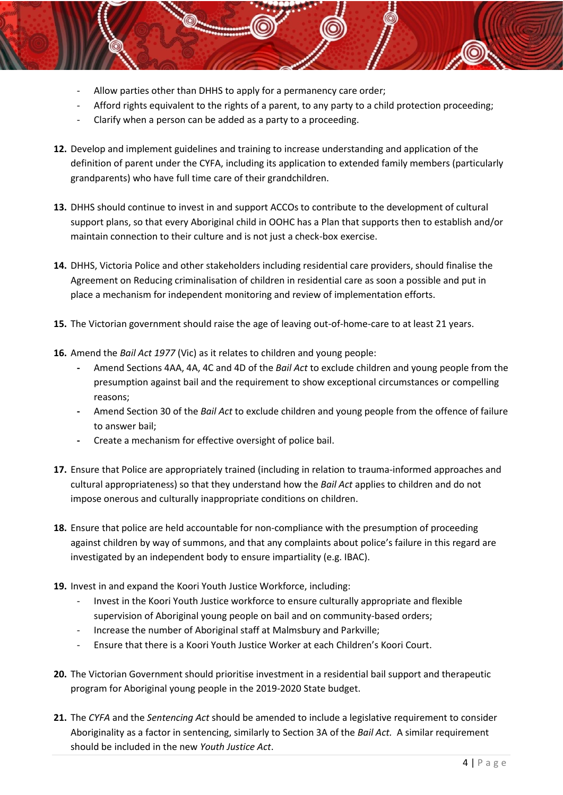- Allow parties other than DHHS to apply for a permanency care order;
- Afford rights equivalent to the rights of a parent, to any party to a child protection proceeding;
- Clarify when a person can be added as a party to a proceeding.
- **12.** Develop and implement guidelines and training to increase understanding and application of the definition of parent under the CYFA, including its application to extended family members (particularly grandparents) who have full time care of their grandchildren.
- **13.** DHHS should continue to invest in and support ACCOs to contribute to the development of cultural support plans, so that every Aboriginal child in OOHC has a Plan that supports then to establish and/or maintain connection to their culture and is not just a check-box exercise.
- **14.** DHHS, Victoria Police and other stakeholders including residential care providers, should finalise the Agreement on Reducing criminalisation of children in residential care as soon a possible and put in place a mechanism for independent monitoring and review of implementation efforts.
- **15.** The Victorian government should raise the age of leaving out-of-home-care to at least 21 years.
- **16.** Amend the *Bail Act 1977* (Vic) as it relates to children and young people:
	- **-** Amend Sections 4AA, 4A, 4C and 4D of the *Bail Act* to exclude children and young people from the presumption against bail and the requirement to show exceptional circumstances or compelling reasons;
	- **-** Amend Section 30 of the *Bail Act* to exclude children and young people from the offence of failure to answer bail;
	- **-** Create a mechanism for effective oversight of police bail.
- **17.** Ensure that Police are appropriately trained (including in relation to trauma-informed approaches and cultural appropriateness) so that they understand how the *Bail Act* applies to children and do not impose onerous and culturally inappropriate conditions on children.
- **18.** Ensure that police are held accountable for non-compliance with the presumption of proceeding against children by way of summons, and that any complaints about police's failure in this regard are investigated by an independent body to ensure impartiality (e.g. IBAC).
- **19.** Invest in and expand the Koori Youth Justice Workforce, including:
	- Invest in the Koori Youth Justice workforce to ensure culturally appropriate and flexible supervision of Aboriginal young people on bail and on community-based orders;
	- Increase the number of Aboriginal staff at Malmsbury and Parkville;
	- Ensure that there is a Koori Youth Justice Worker at each Children's Koori Court.
- **20.** The Victorian Government should prioritise investment in a residential bail support and therapeutic program for Aboriginal young people in the 2019-2020 State budget.
- **21.** The *CYFA* and the *Sentencing Act* should be amended to include a legislative requirement to consider Aboriginality as a factor in sentencing, similarly to Section 3A of the *Bail Act.* A similar requirement should be included in the new *Youth Justice Act*.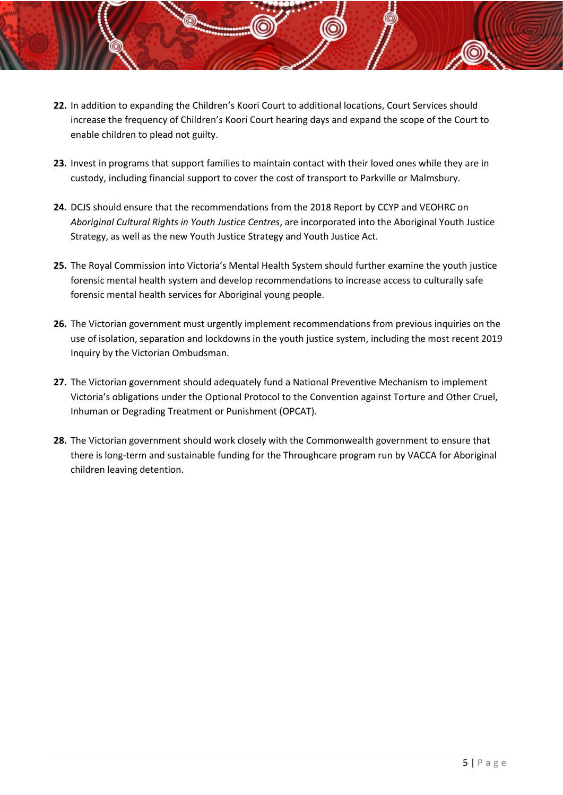- **22.** In addition to expanding the Children's Koori Court to additional locations, Court Services should increase the frequency of Children's Koori Court hearing days and expand the scope of the Court to enable children to plead not guilty.
- **23.** Invest in programs that support families to maintain contact with their loved ones while they are in custody, including financial support to cover the cost of transport to Parkville or Malmsbury.
- **24.** DCJS should ensure that the recommendations from the 2018 Report by CCYP and VEOHRC on *Aboriginal Cultural Rights in Youth Justice Centres*, are incorporated into the Aboriginal Youth Justice Strategy, as well as the new Youth Justice Strategy and Youth Justice Act.
- **25.** The Royal Commission into Victoria's Mental Health System should further examine the youth justice forensic mental health system and develop recommendations to increase access to culturally safe forensic mental health services for Aboriginal young people.
- **26.** The Victorian government must urgently implement recommendations from previous inquiries on the use of isolation, separation and lockdowns in the youth justice system, including the most recent 2019 Inquiry by the Victorian Ombudsman.
- **27.** The Victorian government should adequately fund a National Preventive Mechanism to implement Victoria's obligations under the Optional Protocol to the Convention against Torture and Other Cruel, Inhuman or Degrading Treatment or Punishment (OPCAT).
- **28.** The Victorian government should work closely with the Commonwealth government to ensure that there is long-term and sustainable funding for the Throughcare program run by VACCA for Aboriginal children leaving detention.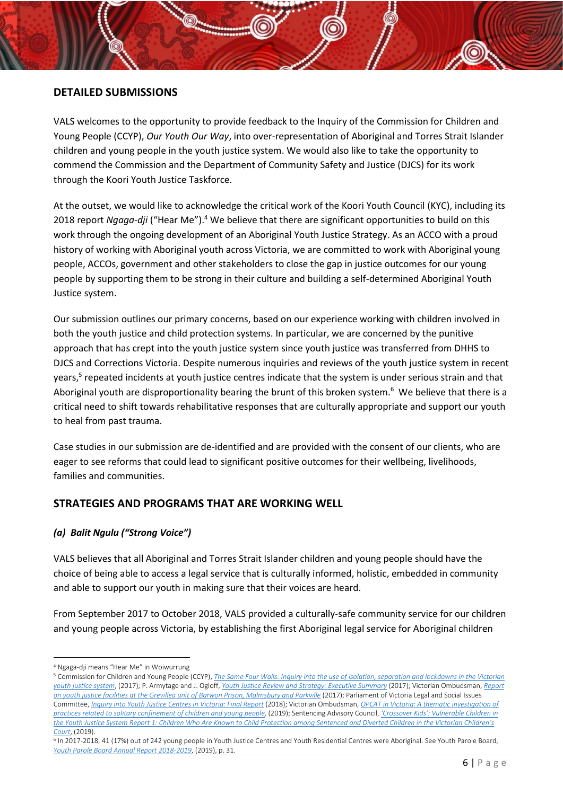## <span id="page-6-0"></span>**DETAILED SUBMISSIONS**

VALS welcomes to the opportunity to provide feedback to the Inquiry of the Commission for Children and Young People (CCYP), *Our Youth Our Way*, into over-representation of Aboriginal and Torres Strait Islander children and young people in the youth justice system. We would also like to take the opportunity to commend the Commission and the Department of Community Safety and Justice (DJCS) for its work through the Koori Youth Justice Taskforce.

At the outset, we would like to acknowledge the critical work of the Koori Youth Council (KYC), including its 2018 report *Ngaga-dji* ("Hear Me").<sup>4</sup> We believe that there are significant opportunities to build on this work through the ongoing development of an Aboriginal Youth Justice Strategy. As an ACCO with a proud history of working with Aboriginal youth across Victoria, we are committed to work with Aboriginal young people, ACCOs, government and other stakeholders to close the gap in justice outcomes for our young people by supporting them to be strong in their culture and building a self-determined Aboriginal Youth Justice system.

<span id="page-6-3"></span>Our submission outlines our primary concerns, based on our experience working with children involved in both the youth justice and child protection systems. In particular, we are concerned by the punitive approach that has crept into the youth justice system since youth justice was transferred from DHHS to DJCS and Corrections Victoria. Despite numerous inquiries and reviews of the youth justice system in recent years,<sup>5</sup> repeated incidents at youth justice centres indicate that the system is under serious strain and that Aboriginal youth are disproportionality bearing the brunt of this broken system.<sup>6</sup> We believe that there is a critical need to shift towards rehabilitative responses that are culturally appropriate and support our youth to heal from past trauma.

<span id="page-6-4"></span>Case studies in our submission are de-identified and are provided with the consent of our clients, who are eager to see reforms that could lead to significant positive outcomes for their wellbeing, livelihoods, families and communities.

## <span id="page-6-1"></span>**STRATEGIES AND PROGRAMS THAT ARE WORKING WELL**

## <span id="page-6-2"></span>*(a) Balit Ngulu ("Strong Voice")*

VALS believes that all Aboriginal and Torres Strait Islander children and young people should have the choice of being able to access a legal service that is culturally informed, holistic, embedded in community and able to support our youth in making sure that their voices are heard.

From September 2017 to October 2018, VALS provided a culturally-safe community service for our children and young people across Victoria, by establishing the first Aboriginal legal service for Aboriginal children

 $\overline{a}$ <sup>4</sup> Ngaga-dji means "Hear Me" in Woiwurrung

<sup>5</sup> Commission for Children and Young People (CCYP), *[The Same Four Walls: Inquiry into the use of isolation, separation and lockdowns in the Victorian](https://ccyp.vic.gov.au/assets/Publications-inquiries/The-Same-Four-Walls1.pdf)  [youth justice system](https://ccyp.vic.gov.au/assets/Publications-inquiries/The-Same-Four-Walls1.pdf)*, (2017); P. Armytage and J. Ogloff, *[Youth Justice Review and Strategy: Executive Summary](https://www.justice.vic.gov.au/sites/default/files/embridge_cache/emshare/original/public/2018/08/bf/6198c2b50/report_meeting_needs_and_reducing_offending_executive_summary_2017.pdf)* (2017); Victorian Ombudsman, *[Report](https://www.ombudsman.vic.gov.au/getattachment/c6880f35-3cf3-4237-b463-9be28db448c8)*  [on youth justice facilities at the Grevillea unit of Barwon Prison, Malmsbury and Parkville](https://www.ombudsman.vic.gov.au/getattachment/c6880f35-3cf3-4237-b463-9be28db448c8) (2017); Parliament of Victoria Legal and Social Issues Committee, *[Inquiry into Youth Justice Centres in Victoria: Final Report](https://www.parliament.vic.gov.au/images/stories/committees/SCLSI/Youth_Justice_System/Reports/LSIC_Inquiry_into_Youth_Justice_Centres_report_WEB.pdf)* (2018); Victorian Ombudsman, *[OPCAT in Victoria: A thematic investigation of](https://www.ombudsman.vic.gov.au/getattachment/Publications/Parliamentary-Reports/OPCAT-in-Victoria-A-thematic-investigation-of-prac/OPCAT-in-Victoria-A-thematic-investigation-of-practices-related-to-solitary-~-September-2019.pdf.aspx)  [practices related to solitary confinement of children and young people,](https://www.ombudsman.vic.gov.au/getattachment/Publications/Parliamentary-Reports/OPCAT-in-Victoria-A-thematic-investigation-of-prac/OPCAT-in-Victoria-A-thematic-investigation-of-practices-related-to-solitary-~-September-2019.pdf.aspx)* (2019); Sentencing Advisory Council, *['Crossover Kids': Vulnerable Ch](https://www.sentencingcouncil.vic.gov.au/sites/default/files/2019-08/Crossover_Kids_Report_1.pdf)ildren in the Youth [Justice System Report 1: Children Who Are Known to Child Protection among Sentenced and Diverted Children in the Victorian Ch](https://www.sentencingcouncil.vic.gov.au/sites/default/files/2019-08/Crossover_Kids_Report_1.pdf)ildren's [Court](https://www.sentencingcouncil.vic.gov.au/sites/default/files/2019-08/Crossover_Kids_Report_1.pdf)*, (2019).

<sup>&</sup>lt;sup>6</sup> In 2017-2018, 41 (17%) out of 242 young people in Youth Justice Centres and Youth Residential Centres were Aboriginal. See Youth Parole Board, *Youth Parole Board [Annual Report 2018-2019](https://www.justice.vic.gov.au/sites/default/files/embridge_cache/emshare/original/public/2019/10/4e/4b32a40c4/YPB_Annual_Report_2019_WEB.pdf)*, (2019), p. 31.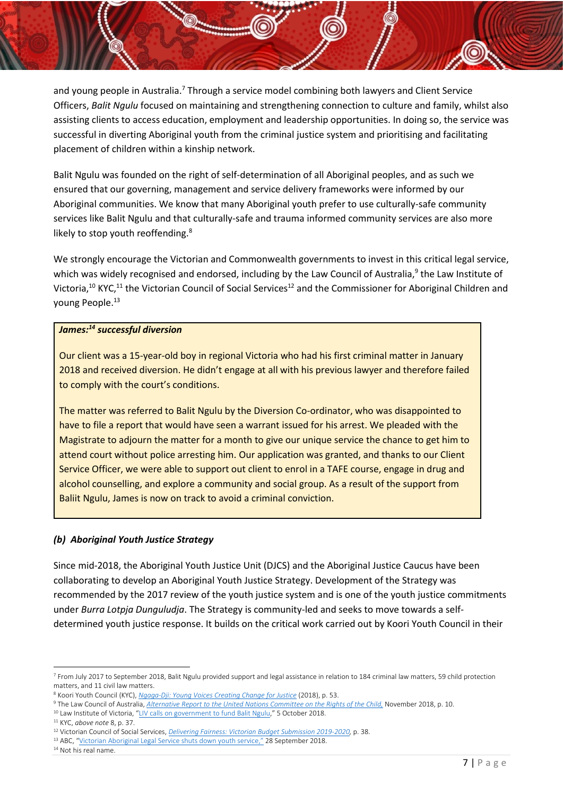and young people in Australia.<sup>7</sup> Through a service model combining both lawyers and Client Service Officers, *Balit Ngulu* focused on maintaining and strengthening connection to culture and family, whilst also assisting clients to access education, employment and leadership opportunities. In doing so, the service was successful in diverting Aboriginal youth from the criminal justice system and prioritising and facilitating placement of children within a kinship network.

Balit Ngulu was founded on the right of self-determination of all Aboriginal peoples, and as such we ensured that our governing, management and service delivery frameworks were informed by our Aboriginal communities. We know that many Aboriginal youth prefer to use culturally-safe community services like Balit Ngulu and that culturally-safe and trauma informed community services are also more likely to stop youth reoffending.<sup>8</sup>

<span id="page-7-1"></span>We strongly encourage the Victorian and Commonwealth governments to invest in this critical legal service, which was widely recognised and endorsed, including by the Law Council of Australia,<sup>9</sup> the Law Institute of Victoria,<sup>10</sup> KYC,<sup>11</sup> the Victorian Council of Social Services<sup>12</sup> and the Commissioner for Aboriginal Children and young People.<sup>13</sup>

#### *James: <sup>14</sup> successful diversion*

Our client was a 15-year-old boy in regional Victoria who had his first criminal matter in January 2018 and received diversion. He didn't engage at all with his previous lawyer and therefore failed to comply with the court's conditions.

The matter was referred to Balit Ngulu by the Diversion Co-ordinator, who was disappointed to have to file a report that would have seen a warrant issued for his arrest. We pleaded with the Magistrate to adjourn the matter for a month to give our unique service the chance to get him to attend court without police arresting him. Our application was granted, and thanks to our Client Service Officer, we were able to support out client to enrol in a TAFE course, engage in drug and alcohol counselling, and explore a community and social group. As a result of the support from Baliit Ngulu, James is now on track to avoid a criminal conviction.

## <span id="page-7-0"></span>*(b) Aboriginal Youth Justice Strategy*

Since mid-2018, the Aboriginal Youth Justice Unit (DJCS) and the Aboriginal Justice Caucus have been collaborating to develop an Aboriginal Youth Justice Strategy. Development of the Strategy was recommended by the 2017 review of the youth justice system and is one of the youth justice commitments under *Burra Lotpja Dunguludja*. The Strategy is community-led and seeks to move towards a selfdetermined youth justice response. It builds on the critical work carried out by Koori Youth Council in their

**<sup>.</sup>** <sup>7</sup> From July 2017 to September 2018, Balit Ngulu provided support and legal assistance in relation to 184 criminal law matters, 59 child protection matters, and 11 civil law matters.

<sup>8</sup> Koori Youth Council (KYC), *[Ngaga-Dji: Young Voices Creating Change for Justice](https://static1.squarespace.com/static/5b7d09f775f9ee5cf0a54a07/t/5b860aff352f53267bc3486c/1535511527195/Ngaga-dji+report+August+2018.pdf)* (2018), p. 53.

<sup>9</sup> The Law Council of Australia, *[Alternative Report to the United Nations Committee on the Rights of the Child,](https://www.lawcouncil.asn.au/resources/submissions/alternative-report-to-the-united-nations-committee-on-the-rights-of-the-child)* November 2018, p. 10.

<sup>&</sup>lt;sup>10</sup> Law Institute of Victoria, "[LIV calls on government to fund Balit Ngulu,](https://www.liv.asn.au/Staying-Informed/Submissions/submissions/October-2018/LIV-calls-on-government-to-fund-Balit-Ngulu)" 5 October 2018.

<sup>11</sup> KYC, *above note* [8,](#page-7-1) p. 37.

<sup>12</sup> Victorian Council of Social Services, *[Delivering Fairness: Victorian Budget Submission 2019-2020,](https://vcoss.org.au/wp-content/uploads/2019/03/DF_Online.pdf)* p. 38.

<sup>&</sup>lt;sup>13</sup> ABC, "Victorian [Aboriginal Legal Service shuts down youth service,](https://www.abc.net.au/news/2018-09-28/victorian-aboriginal-legal-service-shuts-down-youth-service/10315948)" 28 September 2018.

<sup>&</sup>lt;sup>14</sup> Not his real name.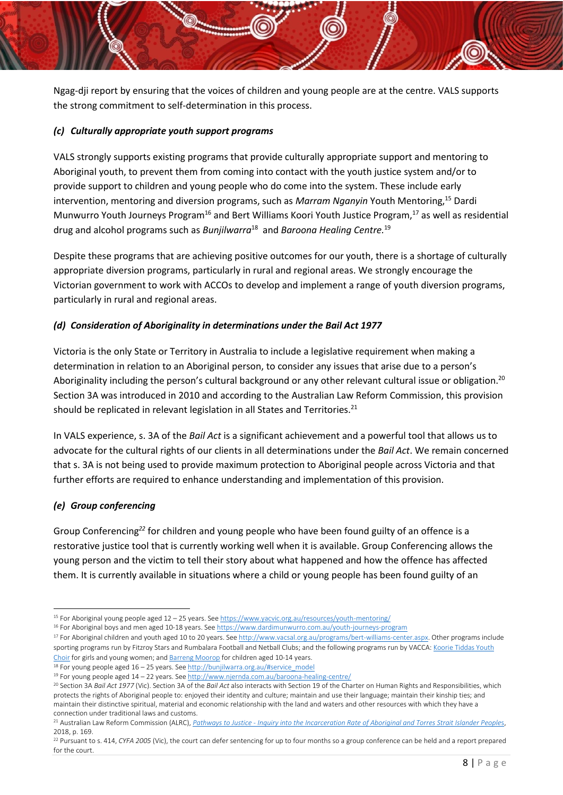Ngag-dji report by ensuring that the voices of children and young people are at the centre. VALS supports the strong commitment to self-determination in this process.

#### <span id="page-8-0"></span>*(c) Culturally appropriate youth support programs*

VALS strongly supports existing programs that provide culturally appropriate support and mentoring to Aboriginal youth, to prevent them from coming into contact with the youth justice system and/or to provide support to children and young people who do come into the system. These include early intervention, mentoring and diversion programs, such as *Marram Nganyin* Youth Mentoring,<sup>15</sup> Dardi Munwurro Youth Journeys Program<sup>16</sup> and Bert Williams Koori Youth Justice Program,<sup>17</sup> as well as residential drug and alcohol programs such as *Bunjilwarra*<sup>18</sup> and *Baroona Healing Centre.* 19 

Despite these programs that are achieving positive outcomes for our youth, there is a shortage of culturally appropriate diversion programs, particularly in rural and regional areas. We strongly encourage the Victorian government to work with ACCOs to develop and implement a range of youth diversion programs, particularly in rural and regional areas.

## <span id="page-8-1"></span>*(d) Consideration of Aboriginality in determinations under the Bail Act 1977*

Victoria is the only State or Territory in Australia to include a legislative requirement when making a determination in relation to an Aboriginal person, to consider any issues that arise due to a person's Aboriginality including the person's cultural background or any other relevant cultural issue or obligation.<sup>20</sup> Section 3A was introduced in 2010 and according to the Australian Law Reform Commission, this provision should be replicated in relevant legislation in all States and Territories.<sup>21</sup>

<span id="page-8-3"></span>In VALS experience, s. 3A of the *Bail Act* is a significant achievement and a powerful tool that allows us to advocate for the cultural rights of our clients in all determinations under the *Bail Act*. We remain concerned that s. 3A is not being used to provide maximum protection to Aboriginal people across Victoria and that further efforts are required to enhance understanding and implementation of this provision.

## <span id="page-8-2"></span>*(e) Group conferencing*

Group Conferencing*<sup>22</sup>* for children and young people who have been found guilty of an offence is a restorative justice tool that is currently working well when it is available. Group Conferencing allows the young person and the victim to tell their story about what happened and how the offence has affected them. It is currently available in situations where a child or young people has been found guilty of an

<sup>1</sup> <sup>15</sup> For Aboriginal young people aged 12 – 25 years. Se[e https://www.yacvic.org.au/resources/youth-mentoring/](https://www.yacvic.org.au/resources/youth-mentoring/)

<sup>16</sup> For Aboriginal boys and men aged 10-18 years. Se[e https://www.dardimunwurro.com.au/youth-journeys-program](https://www.dardimunwurro.com.au/youth-journeys-program)

<sup>&</sup>lt;sup>17</sup> For Aboriginal children and youth aged 10 to 20 years. Se[e http://www.vacsal.org.au/programs/bert-williams-center.aspx.](http://www.vacsal.org.au/programs/bert-williams-center.aspx) Other programs include sporting programs run by Fitzroy Stars and Rumbalara Football and Netball Clubs; and the following programs run by VACCA[: Koorie Tiddas Youth](https://www.vacca.org/page/services/cultural-strengthening-programs/koorie-tiddas-youth-choir)  [Choir](https://www.vacca.org/page/services/cultural-strengthening-programs/koorie-tiddas-youth-choir) for girls and young women; and [Barreng Moorop](https://www.vacca.org/page/services/youth-services-and-programs/barreng-moorop-youth-justice-program) for children aged 10-14 years.

<sup>18</sup> For young people aged 16 – 25 years. See [http://bunjilwarra.org.au/#service\\_model](http://bunjilwarra.org.au/#service_model)

<sup>19</sup> For young people aged 14 – 22 years. See<http://www.njernda.com.au/baroona-healing-centre/>

<sup>20</sup> Section 3A *Bail Act 1977* (Vic). Section 3A of the *Bail Act* also interacts with Section 19 of the Charter on Human Rights and Responsibilities, which protects the rights of Aboriginal people to: enjoyed their identity and culture; maintain and use their language; maintain their kinship ties; and maintain their distinctive spiritual, material and economic relationship with the land and waters and other resources with which they have a connection under traditional laws and customs.

<sup>21</sup> Australian Law Reform Commission (ALRC), *Pathways to Justice - [Inquiry into the Incarceration Rate of Aboriginal and Torres Strait Islander People](https://www.alrc.gov.au/wp-content/uploads/2019/08/final_report_133_amended1.pdf)*s, 2018, p. 169.

<sup>22</sup> Pursuant to s. 414, *CYFA 2005* (Vic), the court can defer sentencing for up to four months so a group conference can be held and a report prepared for the court.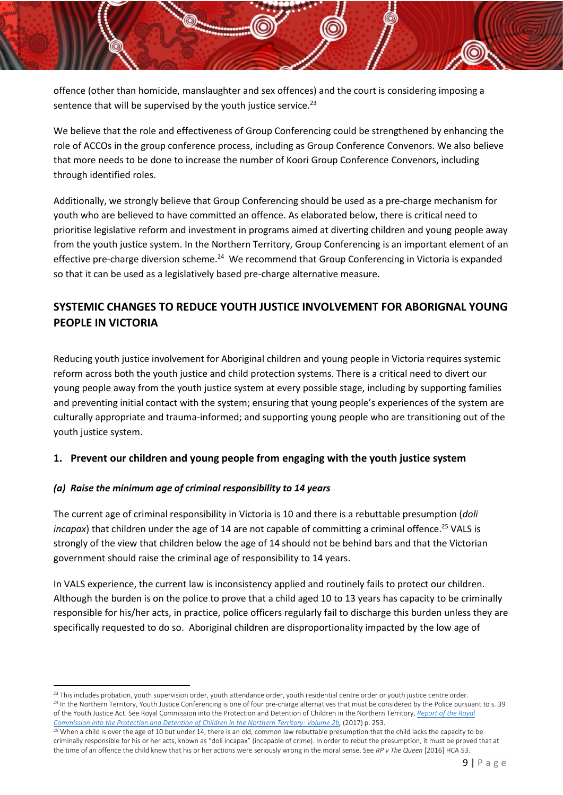offence (other than homicide, manslaughter and sex offences) and the court is considering imposing a sentence that will be supervised by the youth justice service.<sup>23</sup>

We believe that the role and effectiveness of Group Conferencing could be strengthened by enhancing the role of ACCOs in the group conference process, including as Group Conference Convenors. We also believe that more needs to be done to increase the number of Koori Group Conference Convenors, including through identified roles.

Additionally, we strongly believe that Group Conferencing should be used as a pre-charge mechanism for youth who are believed to have committed an offence. As elaborated below, there is critical need to prioritise legislative reform and investment in programs aimed at diverting children and young people away from the youth justice system. In the Northern Territory, Group Conferencing is an important element of an effective pre-charge diversion scheme.<sup>24</sup> We recommend that Group Conferencing in Victoria is expanded so that it can be used as a legislatively based pre-charge alternative measure.

## <span id="page-9-3"></span><span id="page-9-0"></span>**SYSTEMIC CHANGES TO REDUCE YOUTH JUSTICE INVOLVEMENT FOR ABORIGNAL YOUNG PEOPLE IN VICTORIA**

Reducing youth justice involvement for Aboriginal children and young people in Victoria requires systemic reform across both the youth justice and child protection systems. There is a critical need to divert our young people away from the youth justice system at every possible stage, including by supporting families and preventing initial contact with the system; ensuring that young people's experiences of the system are culturally appropriate and trauma-informed; and supporting young people who are transitioning out of the youth justice system.

## <span id="page-9-1"></span>**1. Prevent our children and young people from engaging with the youth justice system**

## <span id="page-9-2"></span>*(a) Raise the minimum age of criminal responsibility to 14 years*

**.** 

The current age of criminal responsibility in Victoria is 10 and there is a rebuttable presumption (*doli incapax*) that children under the age of 14 are not capable of committing a criminal offence.<sup>25</sup> VALS is strongly of the view that children below the age of 14 should not be behind bars and that the Victorian government should raise the criminal age of responsibility to 14 years.

In VALS experience, the current law is inconsistency applied and routinely fails to protect our children. Although the burden is on the police to prove that a child aged 10 to 13 years has capacity to be criminally responsible for his/her acts, in practice, police officers regularly fail to discharge this burden unless they are specifically requested to do so. Aboriginal children are disproportionality impacted by the low age of

<sup>&</sup>lt;sup>23</sup> This includes probation, youth supervision order, youth attendance order, youth residential centre order or youth justice centre order. <sup>24</sup> In the Northern Territory, Youth Justice Conferencing is one of four pre-charge alternatives that must be considered by the Police pursuant to s. 39 of the Youth Justice Act. See Royal Commission into the Protection and Detention of Children in the Northern Territory, *[Report of the Royal](https://www.royalcommission.gov.au/sites/default/files/2019-01/rcnt-royal-commission-nt-final-report-volume-2b.pdf)  [Commission into the Protection and Detention of Children in the Northern Territory: Volume 2b,](https://www.royalcommission.gov.au/sites/default/files/2019-01/rcnt-royal-commission-nt-final-report-volume-2b.pdf)* (2017) p. 253.

 $25$  When a child is over the age of 10 but under 14, there is an old, common law rebuttable presumption that the child lacks the capacity to be criminally responsible for his or her acts, known as "doli incapax" (incapable of crime). In order to rebut the presumption, it must be proved that at the time of an offence the child knew that his or her actions were seriously wrong in the moral sense. See *RP v The Queen* [2016] HCA 53.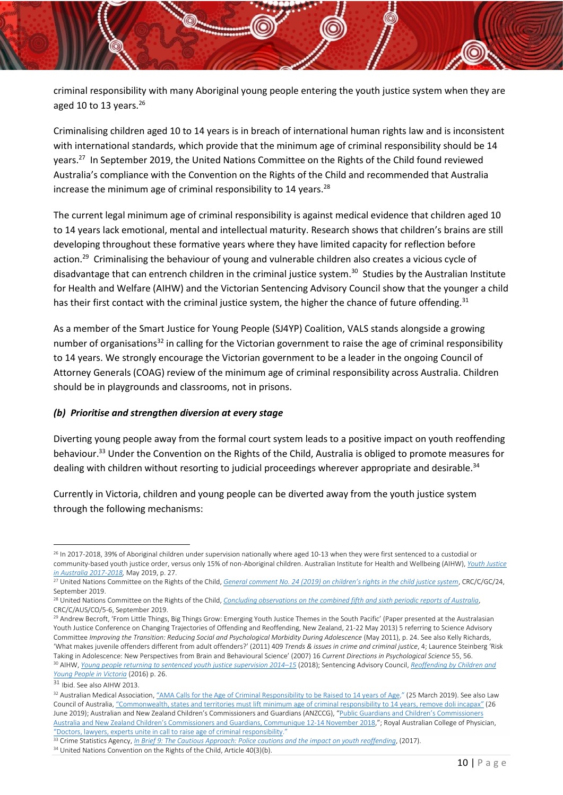criminal responsibility with many Aboriginal young people entering the youth justice system when they are aged 10 to 13 years. $26$ 

Criminalising children aged 10 to 14 years is in breach of international human rights law and is inconsistent with international standards, which provide that the minimum age of criminal responsibility should be 14 years.<sup>27</sup> In September 2019, the United Nations Committee on the Rights of the Child found reviewed Australia's compliance with the Convention on the Rights of the Child and recommended that Australia increase the minimum age of criminal responsibility to 14 years. $^{28}$ 

The current legal minimum age of criminal responsibility is against medical evidence that children aged 10 to 14 years lack emotional, mental and intellectual maturity. Research shows that children's brains are still developing throughout these formative years where they have limited capacity for reflection before action.<sup>29</sup> Criminalising the behaviour of young and vulnerable children also creates a vicious cycle of disadvantage that can entrench children in the criminal justice system.<sup>30</sup> Studies by the Australian Institute for Health and Welfare (AIHW) and the Victorian Sentencing Advisory Council show that the younger a child has their first contact with the criminal justice system, the higher the chance of future offending.<sup>31</sup>

As a member of the Smart Justice for Young People (SJ4YP) Coalition, VALS stands alongside a growing number of organisations<sup>32</sup> in calling for the Victorian government to raise the age of criminal responsibility to 14 years. We strongly encourage the Victorian government to be a leader in the ongoing Council of Attorney Generals (COAG) review of the minimum age of criminal responsibility across Australia. Children should be in playgrounds and classrooms, not in prisons.

#### <span id="page-10-0"></span>*(b) Prioritise and strengthen diversion at every stage*

<span id="page-10-1"></span>Diverting young people away from the formal court system leads to a positive impact on youth reoffending behaviour.<sup>33</sup> Under the Convention on the Rights of the Child, Australia is obliged to promote measures for dealing with children without resorting to judicial proceedings wherever appropriate and desirable.<sup>34</sup>

Currently in Victoria, children and young people can be diverted away from the youth justice system through the following mechanisms:

<sup>1</sup> <sup>26</sup> In 2017-2018, 39% of Aboriginal children under supervision nationally where aged 10-13 when they were first sentenced to a custodial or community-based youth justice order, versus only 15% of non-Aboriginal children. Australian Institute for Health and Wellbeing (AIHW), *[Youth Justice](https://www.aihw.gov.au/getmedia/f80cfcb3-c058-4c1c-bda5-e37ba51fa66b/aihw-juv-129.pdf.aspx?inline=true,%20Table%20S78b)  [in Australia 2017-2018,](https://www.aihw.gov.au/getmedia/f80cfcb3-c058-4c1c-bda5-e37ba51fa66b/aihw-juv-129.pdf.aspx?inline=true,%20Table%20S78b)* May 2019, p. 27.

<sup>27</sup> United Nations Committee on the Rights of the Child, *[General comment No. 24 \(2019\) on children's rights in the child justice system](https://tbinternet.ohchr.org/_layouts/15/treatybodyexternal/Download.aspx?symbolno=CRC/C/GC/24&Lang=en)*, CRC/C/GC/24, September 2019.

<sup>28</sup> United Nations Committee on the Rights of the Child, *[Concluding observations on the combined fifth and sixth periodic reports of Australia](https://tbinternet.ohchr.org/_layouts/15/treatybodyexternal/Download.aspx?symbolno=CRC%2fC%2fAUS%2fCO%2f5-6&Lang=en)*, CRC/C/AUS/CO/5-6, September 2019.

<sup>&</sup>lt;sup>29</sup> Andrew Becroft, 'From Little Things, Big Things Grow: Emerging Youth Justice Themes in the South Pacific' (Paper presented at the Australasian Youth Justice Conference on Changing Trajectories of Offending and Reoffending, New Zealand, 21-22 May 2013) 5 referring to Science Advisory Committee *Improving the Transition: Reducing Social and Psychological Morbidity During Adolescence* (May 2011), p. 24. See also Kelly Richards, 'What makes juvenile offenders different from adult offenders?' (2011) 409 *Trends & issues in crime and criminal justice*, 4; Laurence Steinberg 'Risk Taking in Adolescence: New Perspectives from Brain and Behavioural Science' (2007) 16 *Current Directions in Psychological Science* 55, 56. <sup>30</sup> AIHW, *[Young people returning to sentenced youth justice supervision 2014](https://www.aihw.gov.au/getmedia/48ae3545-83c5-46f1-96d4-9fac034fc71b/aihw-juv-127.pdf.aspx?inline=true)–15* (2018); Sentencing Advisory Council, *[Reoffending by Children and](https://www.sentencingcouncil.vic.gov.au/sites/default/files/2019-08/Reoffending_by_Children_and_Young_People_in_Victoria.pdf)  [Young People in Victoria](https://www.sentencingcouncil.vic.gov.au/sites/default/files/2019-08/Reoffending_by_Children_and_Young_People_in_Victoria.pdf)* (2016) p. 26.

<sup>31</sup> Ibid. See also AIHW 2013.

<sup>&</sup>lt;sup>32</sup> Australian Medical Association, "[AMA Calls for the Age of Criminal Responsibility](https://ama.com.au/media/ama-calls-age-criminal-responsibility-be-raised-14-years-age) to be Raised to 14 years of Age," (25 March 2019). See also Law Council of Australia, "[Commonwealth, states and territories must lift minimum age of criminal responsibility to 14 years, remove doli incapax](https://www.lawcouncil.asn.au/media/media-releases/commonwealth-states-and-territories-must-lift-minimum-age-of-criminal-responsibility-to-14-years-remove-doli-incapax)" (26 June 2019); Australian and New Zealand Children's Commissioners and Guardians (ANZCCG), ["Public Guardians and Children's Commissioners](https://www.humanrights.gov.au/our-work/childrens-rights/publications/australian-and-new-zealand-childrens-commissioners-and-0)  Australia and New Zealand Children's C[ommissioners and Guardians, Communique 12-14 November 2018,](https://www.humanrights.gov.au/our-work/childrens-rights/publications/australian-and-new-zealand-childrens-commissioners-and-0)"; Royal Australian College of Physician, "[Doctors, lawyers, experts unite in call to raise age of criminal responsibility.](https://www.racp.edu.au/news-and-events/media-releases/doctors-lawyers-experts-unite-in-call-to-raise-age-of-criminal-responsibility)"

<sup>33</sup> Crime Statistics Agency, *[In Brief 9: The Cautious Approach: Police cautions and the impact on youth reoffending](https://www.crimestatistics.vic.gov.au/sites/default/files/embridge_cache/emshare/original/public/2017/09/7f/e1e924c80/20170925_in%20brief9%20FINAL.pdf)*, (2017).

<sup>&</sup>lt;sup>34</sup> United Nations Convention on the Rights of the Child, Article 40(3)(b).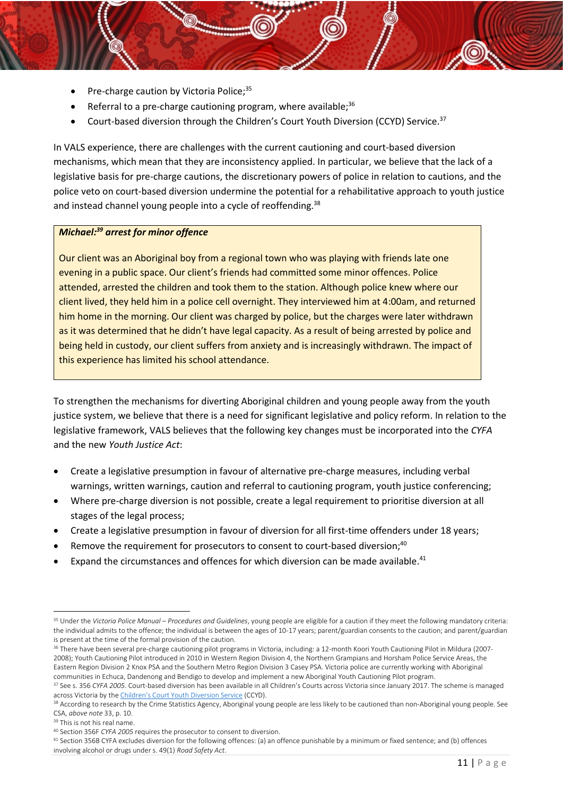- Pre-charge caution by Victoria Police; $35$
- Referral to a pre-charge cautioning program, where available; $36$
- Court-based diversion through the Children's Court Youth Diversion (CCYD) Service.<sup>37</sup>

In VALS experience, there are challenges with the current cautioning and court-based diversion mechanisms, which mean that they are inconsistency applied. In particular, we believe that the lack of a legislative basis for pre-charge cautions, the discretionary powers of police in relation to cautions, and the police veto on court-based diversion undermine the potential for a rehabilitative approach to youth justice and instead channel young people into a cycle of reoffending.<sup>38</sup>

#### *Michael: <sup>39</sup> arrest for minor offence*

Our client was an Aboriginal boy from a regional town who was playing with friends late one evening in a public space. Our client's friends had committed some minor offences. Police attended, arrested the children and took them to the station. Although police knew where our client lived, they held him in a police cell overnight. They interviewed him at 4:00am, and returned him home in the morning. Our client was charged by police, but the charges were later withdrawn as it was determined that he didn't have legal capacity. As a result of being arrested by police and being held in custody, our client suffers from anxiety and is increasingly withdrawn. The impact of this experience has limited his school attendance.

To strengthen the mechanisms for diverting Aboriginal children and young people away from the youth justice system, we believe that there is a need for significant legislative and policy reform. In relation to the legislative framework, VALS believes that the following key changes must be incorporated into the *CYFA* and the new *Youth Justice Act*:

- Create a legislative presumption in favour of alternative pre-charge measures, including verbal warnings, written warnings, caution and referral to cautioning program, youth justice conferencing;
- Where pre-charge diversion is not possible, create a legal requirement to prioritise diversion at all stages of the legal process;
- Create a legislative presumption in favour of diversion for all first-time offenders under 18 years;
- Remove the requirement for prosecutors to consent to court-based diversion;<sup>40</sup>
- Expand the circumstances and offences for which diversion can be made available.<sup>41</sup>

<sup>35</sup> Under the *Victoria Police Manual – Procedures and Guidelines*, young people are eligible for a caution if they meet the following mandatory criteria: the individual admits to the offence; the individual is between the ages of 10-17 years; parent/guardian consents to the caution; and parent/guardian is present at the time of the formal provision of the caution.

<sup>36</sup> There have been several pre-charge cautioning pilot programs in Victoria, including: a 12-month Koori Youth Cautioning Pilot in Mildura (2007-2008); Youth Cautioning Pilot introduced in 2010 in Western Region Division 4, the Northern Grampians and Horsham Police Service Areas, the Eastern Region Division 2 Knox PSA and the Southern Metro Region Division 3 Casey PSA. Victoria police are currently working with Aboriginal communities in Echuca, Dandenong and Bendigo to develop and implement a new Aboriginal Youth Cautioning Pilot program.

<sup>37</sup> See s. 356 *CYFA 2005*. Court-based diversion has been available in all Children's Courts across Victoria since January 2017. The scheme is managed across Victoria by the [Children's Court Youth Diversion Service](https://www.childrenscourt.vic.gov.au/jurisdictions/criminal/youth-diversion) (CCYD).

<sup>&</sup>lt;sup>38</sup> According to research by the Crime Statistics Agency, Aboriginal young people are less likely to be cautioned than non-Aboriginal young people. See CSA, *above note* [33,](#page-10-1) p. 10.

<sup>39</sup> This is not his real name.

<sup>40</sup> Section 356F *CYFA 2005* requires the prosecutor to consent to diversion.

<sup>41</sup> Section 356B CYFA excludes diversion for the following offences: (a) an offence punishable by a minimum or fixed sentence; and (b) offences involving alcohol or drugs under s. 49(1) *Road Safety Act*.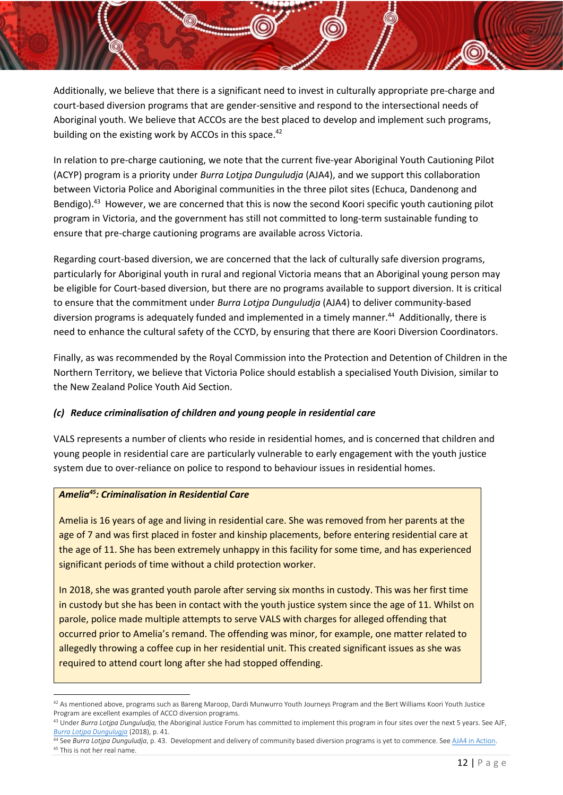Additionally, we believe that there is a significant need to invest in culturally appropriate pre-charge and court-based diversion programs that are gender-sensitive and respond to the intersectional needs of Aboriginal youth. We believe that ACCOs are the best placed to develop and implement such programs, building on the existing work by ACCOs in this space.<sup>42</sup>

In relation to pre-charge cautioning, we note that the current five-year Aboriginal Youth Cautioning Pilot (ACYP) program is a priority under *Burra Lotjpa Dunguludja* (AJA4), and we support this collaboration between Victoria Police and Aboriginal communities in the three pilot sites (Echuca, Dandenong and Bendigo).<sup>43</sup> However, we are concerned that this is now the second Koori specific youth cautioning pilot program in Victoria, and the government has still not committed to long-term sustainable funding to ensure that pre-charge cautioning programs are available across Victoria.

Regarding court-based diversion, we are concerned that the lack of culturally safe diversion programs, particularly for Aboriginal youth in rural and regional Victoria means that an Aboriginal young person may be eligible for Court-based diversion, but there are no programs available to support diversion. It is critical to ensure that the commitment under *Burra Lotjpa Dunguludja* (AJA4) to deliver community-based diversion programs is adequately funded and implemented in a timely manner.<sup>44</sup> Additionally, there is need to enhance the cultural safety of the CCYD, by ensuring that there are Koori Diversion Coordinators.

Finally, as was recommended by the Royal Commission into the Protection and Detention of Children in the Northern Territory, we believe that Victoria Police should establish a specialised Youth Division, similar to the New Zealand Police Youth Aid Section.

## <span id="page-12-0"></span>*(c) Reduce criminalisation of children and young people in residential care*

VALS represents a number of clients who reside in residential homes, and is concerned that children and young people in residential care are particularly vulnerable to early engagement with the youth justice system due to over-reliance on police to respond to behaviour issues in residential homes.

## *Amelia<sup>45</sup>: Criminalisation in Residential Care*

Amelia is 16 years of age and living in residential care. She was removed from her parents at the age of 7 and was first placed in foster and kinship placements, before entering residential care at the age of 11. She has been extremely unhappy in this facility for some time, and has experienced significant periods of time without a child protection worker.

In 2018, she was granted youth parole after serving six months in custody. This was her first time in custody but she has been in contact with the youth justice system since the age of 11. Whilst on parole, police made multiple attempts to serve VALS with charges for alleged offending that occurred prior to Amelia's remand. The offending was minor, for example, one matter related to allegedly throwing a coffee cup in her residential unit. This created significant issues as she was required to attend court long after she had stopped offending.

44 See *Burra Lotjpa Dunguludja*, p. 43. Development and delivery of community based diversion programs is yet to commence. Se[e AJA4 in Action.](https://www.aboriginaljustice.vic.gov.au/the-aja-in-action) <sup>45</sup> This is not her real name.

**<sup>.</sup>** <sup>42</sup> As mentioned above, programs such as Bareng Maroop, Dardi Munwurro Youth Journeys Program and the Bert Williams Koori Youth Justice Program are excellent examples of ACCO diversion programs.

<sup>&</sup>lt;sup>43</sup> Under Burra Lotjpa Dunguludja, the Aboriginal Justice Forum has committed to implement this program in four sites over the next 5 years. See AJF, *[Burra Lotjpa Dungulugja](https://www.aboriginaljustice.vic.gov.au/sites/default/files/embridge_cache/emshare/original/public/2018/09/9d/784c6e742/Victorian%20Aboriginal%20Justice%20Agreement%20Phase%204.pdf)* (2018), p. 41.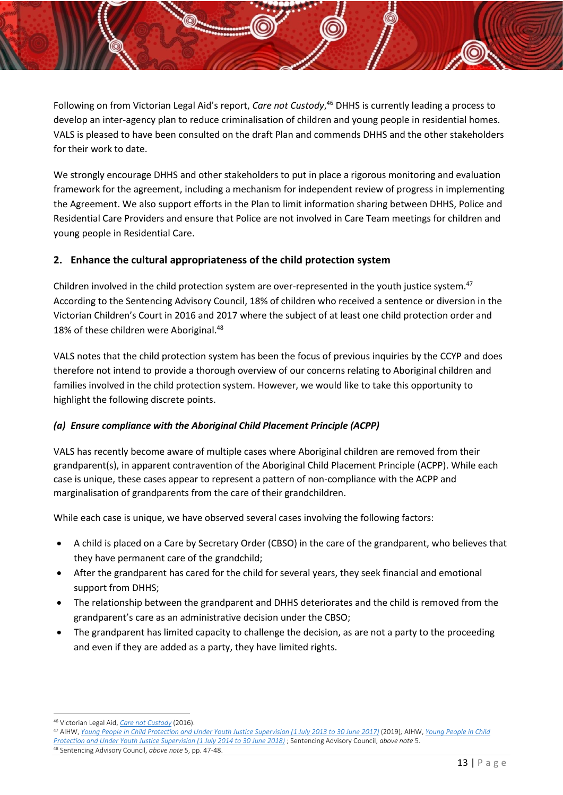Following on from Victorian Legal Aid's report, *Care not Custody*, <sup>46</sup> DHHS is currently leading a process to develop an inter-agency plan to reduce criminalisation of children and young people in residential homes. VALS is pleased to have been consulted on the draft Plan and commends DHHS and the other stakeholders for their work to date.

We strongly encourage DHHS and other stakeholders to put in place a rigorous monitoring and evaluation framework for the agreement, including a mechanism for independent review of progress in implementing the Agreement. We also support efforts in the Plan to limit information sharing between DHHS, Police and Residential Care Providers and ensure that Police are not involved in Care Team meetings for children and young people in Residential Care.

## <span id="page-13-0"></span>**2. Enhance the cultural appropriateness of the child protection system**

Children involved in the child protection system are over-represented in the youth justice system.<sup>47</sup> According to the Sentencing Advisory Council, 18% of children who received a sentence or diversion in the Victorian Children's Court in 2016 and 2017 where the subject of at least one child protection order and 18% of these children were Aboriginal.<sup>48</sup>

VALS notes that the child protection system has been the focus of previous inquiries by the CCYP and does therefore not intend to provide a thorough overview of our concerns relating to Aboriginal children and families involved in the child protection system. However, we would like to take this opportunity to highlight the following discrete points.

## <span id="page-13-1"></span>*(a) Ensure compliance with the Aboriginal Child Placement Principle (ACPP)*

VALS has recently become aware of multiple cases where Aboriginal children are removed from their grandparent(s), in apparent contravention of the Aboriginal Child Placement Principle (ACPP). While each case is unique, these cases appear to represent a pattern of non-compliance with the ACPP and marginalisation of grandparents from the care of their grandchildren.

While each case is unique, we have observed several cases involving the following factors:

- A child is placed on a Care by Secretary Order (CBSO) in the care of the grandparent, who believes that they have permanent care of the grandchild;
- After the grandparent has cared for the child for several years, they seek financial and emotional support from DHHS;
- The relationship between the grandparent and DHHS deteriorates and the child is removed from the grandparent's care as an administrative decision under the CBSO;
- The grandparent has limited capacity to challenge the decision, as are not a party to the proceeding and even if they are added as a party, they have limited rights.

**<sup>.</sup>** <sup>46</sup> Victorian Legal Aid, *[Care not Custody](http://www.legalaid.vic.gov.au/sites/www.legalaid.vic.gov.au/files/vla-care-not-custody-report.pdf)* (2016).

<sup>47</sup> AIHW, *[Young People in Child Protection and Under Youth Justice Supervision \(1 July 2013 to 30 June 2017\)](https://www.aihw.gov.au/getmedia/bdcab5ea-2009-4c44-95ff-8225f5171c4a/aihw-csi-26.pdf.aspx?inline=true)* (2019)*;* AIHW, *[Young People in Child](https://www.aihw.gov.au/getmedia/ebf46682-66a3-4d5e-85ce-0b3919c70dfd/aihw-CSI-27.pdf.aspx?inline=true)  [Protection and Under Youth Justice Supervision \(1 July 2014 to 30 June 2018\)](https://www.aihw.gov.au/getmedia/ebf46682-66a3-4d5e-85ce-0b3919c70dfd/aihw-CSI-27.pdf.aspx?inline=true)* ; Sentencing Advisory Council, *above note* [5.](#page-6-3)  <sup>48</sup> Sentencing Advisory Council, *above note* [5,](#page-6-3) pp. 47-48.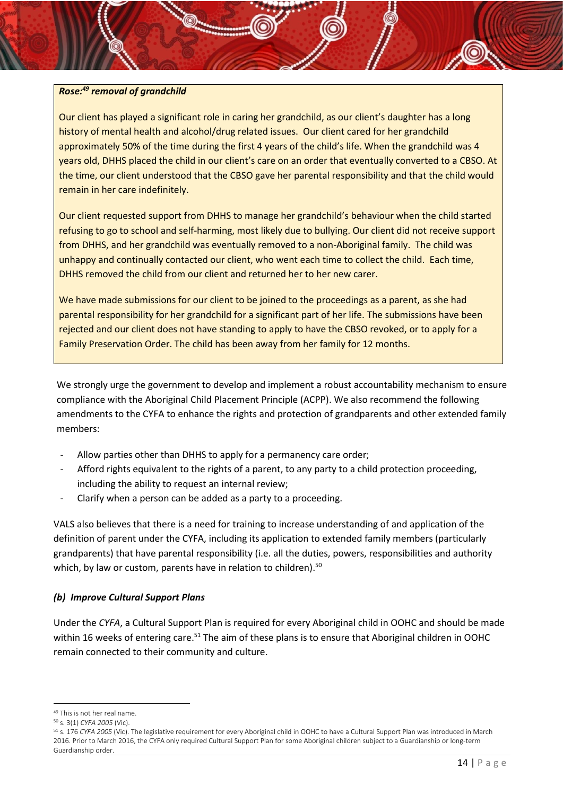## *Rose: <sup>49</sup> removal of grandchild*

Our client has played a significant role in caring her grandchild, as our client's daughter has a long history of mental health and alcohol/drug related issues. Our client cared for her grandchild approximately 50% of the time during the first 4 years of the child's life. When the grandchild was 4 years old, DHHS placed the child in our client's care on an order that eventually converted to a CBSO. At the time, our client understood that the CBSO gave her parental responsibility and that the child would remain in her care indefinitely.

Our client requested support from DHHS to manage her grandchild's behaviour when the child started refusing to go to school and self-harming, most likely due to bullying. Our client did not receive support from DHHS, and her grandchild was eventually removed to a non-Aboriginal family. The child was unhappy and continually contacted our client, who went each time to collect the child. Each time, DHHS removed the child from our client and returned her to her new carer.

We have made submissions for our client to be joined to the proceedings as a parent, as she had parental responsibility for her grandchild for a significant part of her life. The submissions have been rejected and our client does not have standing to apply to have the CBSO revoked, or to apply for a Family Preservation Order. The child has been away from her family for 12 months.

We strongly urge the government to develop and implement a robust accountability mechanism to ensure compliance with the Aboriginal Child Placement Principle (ACPP). We also recommend the following amendments to the CYFA to enhance the rights and protection of grandparents and other extended family members:

- Allow parties other than DHHS to apply for a permanency care order;
- Afford rights equivalent to the rights of a parent, to any party to a child protection proceeding, including the ability to request an internal review;
- Clarify when a person can be added as a party to a proceeding.

VALS also believes that there is a need for training to increase understanding of and application of the definition of parent under the CYFA, including its application to extended family members (particularly grandparents) that have parental responsibility (i.e. all the duties, powers, responsibilities and authority which, by law or custom, parents have in relation to children).<sup>50</sup>

## <span id="page-14-0"></span>*(b) Improve Cultural Support Plans*

Under the *CYFA*, a Cultural Support Plan is required for every Aboriginal child in OOHC and should be made within 16 weeks of entering care.<sup>51</sup> The aim of these plans is to ensure that Aboriginal children in OOHC remain connected to their community and culture.

**.** 

<sup>49</sup> This is not her real name.

<sup>50</sup> s. 3(1) *CYFA 2005* (Vic).

<sup>51</sup> s. 176 *CYFA 2005* (Vic). The legislative requirement for every Aboriginal child in OOHC to have a Cultural Support Plan was introduced in March 2016. Prior to March 2016, the CYFA only required Cultural Support Plan for some Aboriginal children subject to a Guardianship or long-term Guardianship order.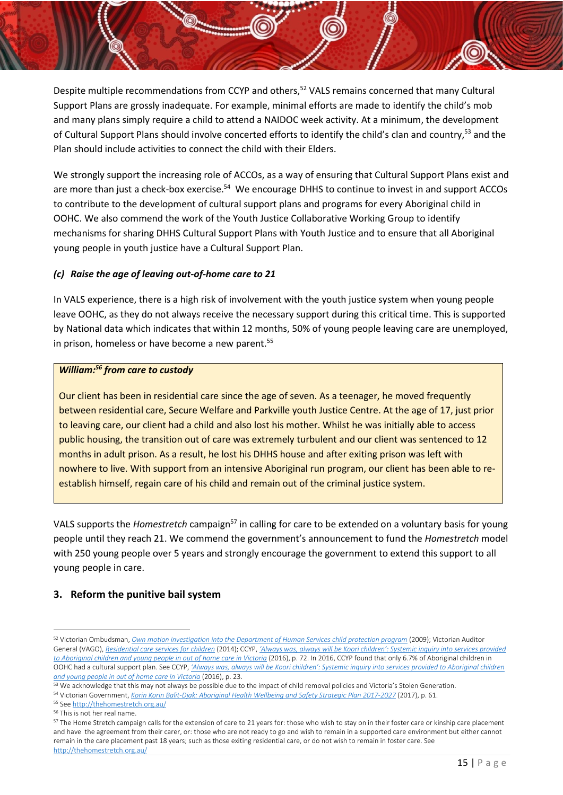Despite multiple recommendations from CCYP and others,<sup>52</sup> VALS remains concerned that many Cultural Support Plans are grossly inadequate. For example, minimal efforts are made to identify the child's mob and many plans simply require a child to attend a NAIDOC week activity. At a minimum, the development of Cultural Support Plans should involve concerted efforts to identify the child's clan and country,<sup>53</sup> and the Plan should include activities to connect the child with their Elders.

We strongly support the increasing role of ACCOs, as a way of ensuring that Cultural Support Plans exist and are more than just a check-box exercise.<sup>54</sup> We encourage DHHS to continue to invest in and support ACCOs to contribute to the development of cultural support plans and programs for every Aboriginal child in OOHC. We also commend the work of the Youth Justice Collaborative Working Group to identify mechanisms for sharing DHHS Cultural Support Plans with Youth Justice and to ensure that all Aboriginal young people in youth justice have a Cultural Support Plan.

## *(c) Raise the age of leaving out-of-home care to 21*

In VALS experience, there is a high risk of involvement with the youth justice system when young people leave OOHC, as they do not always receive the necessary support during this critical time. This is supported by National data which indicates that within 12 months, 50% of young people leaving care are unemployed, in prison, homeless or have become a new parent.<sup>55</sup>

#### *William: <sup>56</sup> from care to custody*

Our client has been in residential care since the age of seven. As a teenager, he moved frequently between residential care, Secure Welfare and Parkville youth Justice Centre. At the age of 17, just prior to leaving care, our client had a child and also lost his mother. Whilst he was initially able to access public housing, the transition out of care was extremely turbulent and our client was sentenced to 12 months in adult prison. As a result, he lost his DHHS house and after exiting prison was left with nowhere to live. With support from an intensive Aboriginal run program, our client has been able to reestablish himself, regain care of his child and remain out of the criminal justice system.

VALS supports the *Homestretch* campaign<sup>57</sup> in calling for care to be extended on a voluntary basis for young people until they reach 21. We commend the government's announcement to fund the *Homestretch* model with 250 young people over 5 years and strongly encourage the government to extend this support to all young people in care.

## **3. Reform the punitive bail system**

<sup>52</sup> Victorian Ombudsman, *[Own motion investigation into the Department of Human Services child protection program](https://www.parliament.vic.gov.au/papers/govpub/VPARL2006-10No253.pdf)* (2009); Victorian Auditor General (VAGO), *[Residential care services for children](https://www.audit.vic.gov.au/report/residential-care-services-children?section=31171--2-outcomes-for-children)* (2014); CCYP, *['Always was, always will be Koori children': Systemic inquiry into services provided](https://ccyp.vic.gov.au/assets/Publications-inquiries/always-was-always-will-be-koori-children-inquiry-report-oct16-extract.pdf)  [to Aboriginal children and young people in out of home care in Victoria](https://ccyp.vic.gov.au/assets/Publications-inquiries/always-was-always-will-be-koori-children-inquiry-report-oct16-extract.pdf)* (2016), p. 72. In 2016, CCYP found that only 6.7% of Aboriginal children in OOHC had a cultural support plan. See CCYP, *['Always was, always will be Koori children': Systemi](https://ccyp.vic.gov.au/assets/Publications-inquiries/always-was-always-will-be-koori-children-inquiry-report-oct16-extract.pdf)c inquiry into services provided to Aboriginal children [and young people in out of home care in Victoria](https://ccyp.vic.gov.au/assets/Publications-inquiries/always-was-always-will-be-koori-children-inquiry-report-oct16-extract.pdf)* (2016), p. 23.

<sup>53</sup> We acknowledge that this may not always be possible due to the impact of child removal policies and Victoria's Stolen Generation.

<sup>54</sup> Victorian Government, *[Korin Korin Balit-Djak: Aboriginal](https://www2.health.vic.gov.au/about/health-strategies/aboriginal-health/korin-korin-balit-djak) Health Wellbeing and Safety Strategic Plan 2017-2027* (2017), p. 61.

<sup>55</sup> Se[e http://thehomestretch.org.au/](http://thehomestretch.org.au/)

<sup>56</sup> This is not her real name.

<sup>&</sup>lt;sup>57</sup> The Home Stretch campaign calls for the extension of care to 21 years for: those who wish to stay on in their foster care or kinship care placement and have the agreement from their carer, or: those who are not ready to go and wish to remain in a supported care environment but either cannot remain in the care placement past 18 years; such as those exiting residential care, or do not wish to remain in foster care. See <http://thehomestretch.org.au/>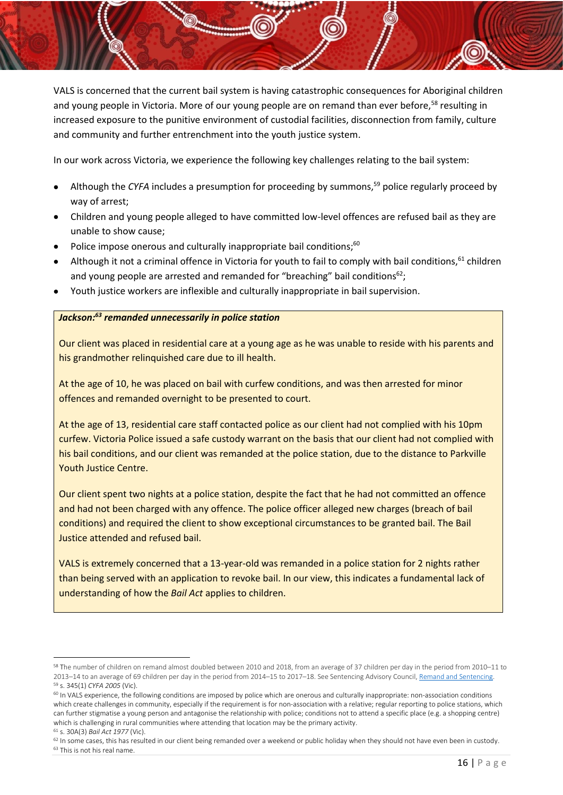VALS is concerned that the current bail system is having catastrophic consequences for Aboriginal children and young people in Victoria. More of our young people are on remand than ever before,<sup>58</sup> resulting in increased exposure to the punitive environment of custodial facilities, disconnection from family, culture and community and further entrenchment into the youth justice system.

In our work across Victoria, we experience the following key challenges relating to the bail system:

- Although the CYFA includes a presumption for proceeding by summons,<sup>59</sup> police regularly proceed by way of arrest;
- Children and young people alleged to have committed low-level offences are refused bail as they are unable to show cause;
- Police impose onerous and culturally inappropriate bail conditions;<sup>60</sup>
- Although it not a criminal offence in Victoria for youth to fail to comply with bail conditions,  $61$  children and young people are arrested and remanded for "breaching" bail conditions $62$ ;
- Youth justice workers are inflexible and culturally inappropriate in bail supervision.

## *Jackson: <sup>63</sup> remanded unnecessarily in police station*

Our client was placed in residential care at a young age as he was unable to reside with his parents and his grandmother relinquished care due to ill health.

At the age of 10, he was placed on bail with curfew conditions, and was then arrested for minor offences and remanded overnight to be presented to court.

At the age of 13, residential care staff contacted police as our client had not complied with his 10pm curfew. Victoria Police issued a safe custody warrant on the basis that our client had not complied with his bail conditions, and our client was remanded at the police station, due to the distance to Parkville Youth Justice Centre.

Our client spent two nights at a police station, despite the fact that he had not committed an offence and had not been charged with any offence. The police officer alleged new charges (breach of bail conditions) and required the client to show exceptional circumstances to be granted bail. The Bail Justice attended and refused bail.

VALS is extremely concerned that a 13-year-old was remanded in a police station for 2 nights rather than being served with an application to revoke bail. In our view, this indicates a fundamental lack of understanding of how the *Bail Act* applies to children.

<sup>58</sup> The number of children on remand almost doubled between 2010 and 2018, from an average of 37 children per day in the period from 2010–11 to 2013–14 to an average of 69 children per day in the period from 2014–15 to 2017–18. See Sentencing Advisory Council[, Remand and Sentencing.](Remand%20and%20Sentencing) <sup>59</sup> s. 345(1) *CYFA 2005* (Vic).

<sup>60</sup> In VALS experience, the following conditions are imposed by police which are onerous and culturally inappropriate: non-association conditions which create challenges in community, especially if the requirement is for non-association with a relative; regular reporting to police stations, which can further stigmatise a young person and antagonise the relationship with police; conditions not to attend a specific place (e.g. a shopping centre) which is challenging in rural communities where attending that location may be the primary activity.

<sup>61</sup> s. 30A(3) *Bail Act 1977* (Vic).

<sup>&</sup>lt;sup>62</sup> In some cases, this has resulted in our client being remanded over a weekend or public holiday when they should not have even been in custody. <sup>63</sup> This is not his real name.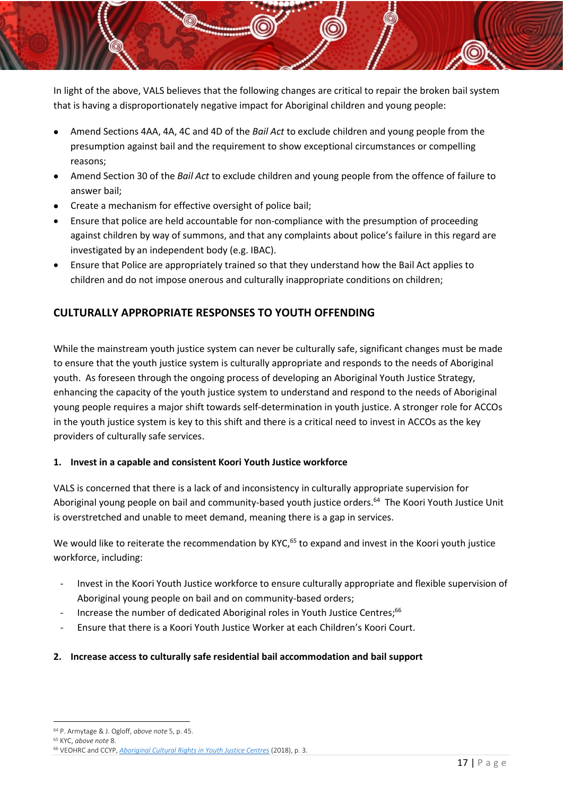In light of the above, VALS believes that the following changes are critical to repair the broken bail system that is having a disproportionately negative impact for Aboriginal children and young people:

- Amend Sections 4AA, 4A, 4C and 4D of the *Bail Act* to exclude children and young people from the presumption against bail and the requirement to show exceptional circumstances or compelling reasons;
- Amend Section 30 of the *Bail Act* to exclude children and young people from the offence of failure to answer bail;
- Create a mechanism for effective oversight of police bail;
- Ensure that police are held accountable for non-compliance with the presumption of proceeding against children by way of summons, and that any complaints about police's failure in this regard are investigated by an independent body (e.g. IBAC).
- Ensure that Police are appropriately trained so that they understand how the Bail Act applies to children and do not impose onerous and culturally inappropriate conditions on children;

## <span id="page-17-0"></span>**CULTURALLY APPROPRIATE RESPONSES TO YOUTH OFFENDING**

While the mainstream youth justice system can never be culturally safe, significant changes must be made to ensure that the youth justice system is culturally appropriate and responds to the needs of Aboriginal youth. As foreseen through the ongoing process of developing an Aboriginal Youth Justice Strategy, enhancing the capacity of the youth justice system to understand and respond to the needs of Aboriginal young people requires a major shift towards self-determination in youth justice. A stronger role for ACCOs in the youth justice system is key to this shift and there is a critical need to invest in ACCOs as the key providers of culturally safe services.

## **1. Invest in a capable and consistent Koori Youth Justice workforce**

VALS is concerned that there is a lack of and inconsistency in culturally appropriate supervision for Aboriginal young people on bail and community-based youth justice orders.<sup>64</sup> The Koori Youth Justice Unit is overstretched and unable to meet demand, meaning there is a gap in services.

We would like to reiterate the recommendation by KYC,<sup>65</sup> to expand and invest in the Koori youth justice workforce, including:

- Invest in the Koori Youth Justice workforce to ensure culturally appropriate and flexible supervision of Aboriginal young people on bail and on community-based orders;
- <span id="page-17-2"></span>- Increase the number of dedicated Aboriginal roles in Youth Justice Centres;<sup>66</sup>
- Ensure that there is a Koori Youth Justice Worker at each Children's Koori Court.

## <span id="page-17-1"></span>**2. Increase access to culturally safe residential bail accommodation and bail support**

**<sup>.</sup>** <sup>64</sup> P. Armytage & J. Ogloff, *above note* [5,](#page-6-3) p. 45.

<sup>65</sup> KYC, *above note* [8.](#page-7-1) 

<sup>66</sup> VEOHRC and CCYP, *[Aboriginal Cultural Rights in Youth Justice Centres](https://ccyp.vic.gov.au/assets/resources/Aboriginal-Cultural-Rights/Aboriginal-cultural-rights-in-youth-justice-centres-WEB-180718.pdf)* (2018), p. 3.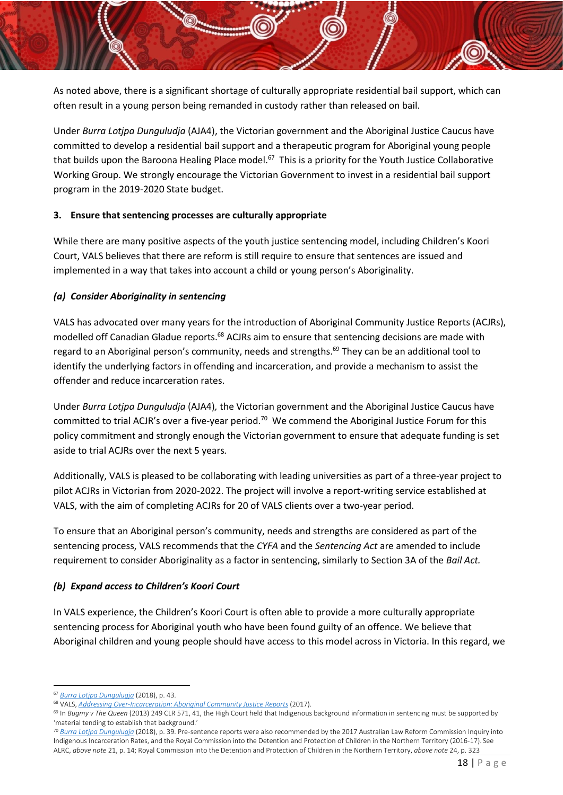As noted above, there is a significant shortage of culturally appropriate residential bail support, which can often result in a young person being remanded in custody rather than released on bail.

Under *Burra Lotjpa Dunguludja* (AJA4), the Victorian government and the Aboriginal Justice Caucus have committed to develop a residential bail support and a therapeutic program for Aboriginal young people that builds upon the Baroona Healing Place model.<sup>67</sup> This is a priority for the Youth Justice Collaborative Working Group. We strongly encourage the Victorian Government to invest in a residential bail support program in the 2019-2020 State budget.

## <span id="page-18-0"></span>**3. Ensure that sentencing processes are culturally appropriate**

While there are many positive aspects of the youth justice sentencing model, including Children's Koori Court, VALS believes that there are reform is still require to ensure that sentences are issued and implemented in a way that takes into account a child or young person's Aboriginality.

#### <span id="page-18-1"></span>*(a) Consider Aboriginality in sentencing*

VALS has advocated over many years for the introduction of Aboriginal Community Justice Reports (ACJRs), modelled off Canadian Gladue reports.<sup>68</sup> ACJRs aim to ensure that sentencing decisions are made with regard to an Aboriginal person's community, needs and strengths.<sup>69</sup> They can be an additional tool to identify the underlying factors in offending and incarceration, and provide a mechanism to assist the offender and reduce incarceration rates.

Under *Burra Lotjpa Dunguludja* (AJA4)*,* the Victorian government and the Aboriginal Justice Caucus have committed to trial ACJR's over a five-year period.<sup>70</sup> We commend the Aboriginal Justice Forum for this policy commitment and strongly enough the Victorian government to ensure that adequate funding is set aside to trial ACJRs over the next 5 years*.* 

Additionally, VALS is pleased to be collaborating with leading universities as part of a three-year project to pilot ACJRs in Victorian from 2020-2022. The project will involve a report-writing service established at VALS, with the aim of completing ACJRs for 20 of VALS clients over a two-year period.

To ensure that an Aboriginal person's community, needs and strengths are considered as part of the sentencing process, VALS recommends that the *CYFA* and the *Sentencing Act* are amended to include requirement to consider Aboriginality as a factor in sentencing, similarly to Section 3A of the *Bail Act.*

## <span id="page-18-2"></span>*(b) Expand access to Children's Koori Court*

In VALS experience, the Children's Koori Court is often able to provide a more culturally appropriate sentencing process for Aboriginal youth who have been found guilty of an offence. We believe that Aboriginal children and young people should have access to this model across in Victoria. In this regard, we

**<sup>.</sup>** <sup>67</sup> *[Burra Lotjpa Dungulugja](https://www.aboriginaljustice.vic.gov.au/sites/default/files/embridge_cache/emshare/original/public/2018/09/9d/784c6e742/Victorian%20Aboriginal%20Justice%20Agreement%20Phase%204.pdf)* (2018), p. 43.

<sup>68</sup> VALS, *[Addressing Over-Incarceration: Aboriginal Community Justice Reports](https://vals.org.au/assets/2017/10/VALS_ACJR_Addressing-Over-Incarceration_Oct_2017FINAL.pdf)* (2017).

<sup>&</sup>lt;sup>69</sup> In *Bugmy v The Queen* (2013) 249 CLR 571, 41, the High Court held that Indigenous background information in sentencing must be supported by 'material tending to establish that background.'

<sup>70</sup> *[Burra Lotjpa Dungulugja](https://www.aboriginaljustice.vic.gov.au/sites/default/files/embridge_cache/emshare/original/public/2018/09/9d/784c6e742/Victorian%20Aboriginal%20Justice%20Agreement%20Phase%204.pdf)* (2018), p. 39. Pre-sentence reports were also recommended by the 2017 Australian Law Reform Commission Inquiry into Indigenous Incarceration Rates, and the Royal Commission into the Detention and Protection of Children in the Northern Territory (2016-17). See ALRC, *above note* [21,](#page-8-3) p. 14; Royal Commission into the Detention and Protection of Children in the Northern Territory, *above note* [24,](#page-9-3) p. 323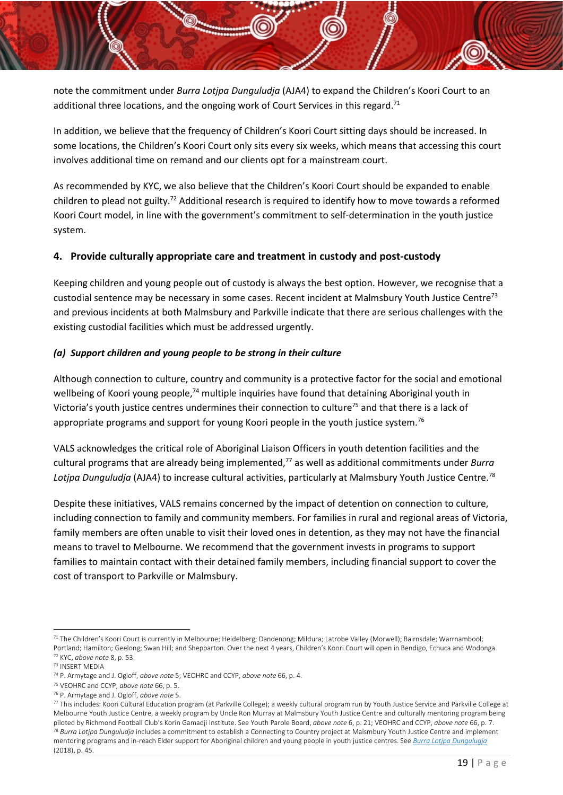note the commitment under *Burra Lotjpa Dunguludja* (AJA4) to expand the Children's Koori Court to an additional three locations, and the ongoing work of Court Services in this regard.<sup>71</sup>

In addition, we believe that the frequency of Children's Koori Court sitting days should be increased. In some locations, the Children's Koori Court only sits every six weeks, which means that accessing this court involves additional time on remand and our clients opt for a mainstream court.

As recommended by KYC, we also believe that the Children's Koori Court should be expanded to enable children to plead not guilty.<sup>72</sup> Additional research is required to identify how to move towards a reformed Koori Court model, in line with the government's commitment to self-determination in the youth justice system.

## <span id="page-19-0"></span>**4. Provide culturally appropriate care and treatment in custody and post-custody**

Keeping children and young people out of custody is always the best option. However, we recognise that a custodial sentence may be necessary in some cases. Recent incident at Malmsbury Youth Justice Centre<sup>73</sup> and previous incidents at both Malmsbury and Parkville indicate that there are serious challenges with the existing custodial facilities which must be addressed urgently.

## <span id="page-19-1"></span>*(a) Support children and young people to be strong in their culture*

Although connection to culture, country and community is a protective factor for the social and emotional wellbeing of Koori young people,<sup>74</sup> multiple inquiries have found that detaining Aboriginal youth in Victoria's youth justice centres undermines their connection to culture<sup>75</sup> and that there is a lack of appropriate programs and support for young Koori people in the youth justice system.<sup>76</sup>

VALS acknowledges the critical role of Aboriginal Liaison Officers in youth detention facilities and the cultural programs that are already being implemented,<sup>77</sup> as well as additional commitments under *[Burra](https://www.aboriginaljustice.vic.gov.au/the-agreement)  [Lotjpa Dunguludja](https://www.aboriginaljustice.vic.gov.au/the-agreement)* (AJA4) to increase cultural activities, particularly at Malmsbury Youth Justice Centre.<sup>78</sup>

Despite these initiatives, VALS remains concerned by the impact of detention on connection to culture, including connection to family and community members. For families in rural and regional areas of Victoria, family members are often unable to visit their loved ones in detention, as they may not have the financial means to travel to Melbourne. We recommend that the government invests in programs to support families to maintain contact with their detained family members, including financial support to cover the cost of transport to Parkville or Malmsbury.

<sup>71</sup> The Children's Koori Court is currently in Melbourne; Heidelberg; Dandenong; Mildura; Latrobe Valley (Morwell); Bairnsdale; Warrnambool; Portland; Hamilton; Geelong; Swan Hill; and Shepparton. Over the next 4 years, Children's Koori Court will open in Bendigo, Echuca and Wodonga. <sup>72</sup> KYC, *above note* [8,](#page-7-1) p. 53.

<sup>73</sup> INSERT MEDIA

<sup>74</sup> P. Armytage and J. Ogloff, *above note* [5;](#page-6-3) VEOHRC and CCYP, *above note* [66,](#page-17-2) p. 4.

<sup>75</sup> VEOHRC and CCYP, *above note* [66,](#page-17-2) p. 5.

<sup>76</sup> P. Armytage and J. Ogloff, *above note* [5.](#page-6-3)

 $77$  This includes: Koori Cultural Education program (at Parkville College); a weekly cultural program run by Youth Justice Service and Parkville College at Melbourne Youth Justice Centre, a weekly program by Uncle Ron Murray at Malmsbury Youth Justice Centre and culturally mentoring program being piloted by Richmond Football Club's Korin Gamadji Institute. See Youth Parole Board, *above note* [6,](#page-6-4) p. 21; VEOHRC and CCYP, *above note* [66,](#page-17-2) p. 7. <sup>78</sup> *Burra Lotjpa Dunguludja* includes a commitment to establish a Connecting to Country project at Malsmbury Youth Justice Centre and implement mentoring programs and in-reach Elder support for Aboriginal children and young people in youth justice centres. See *[Burra Lotjpa Dungulugja](https://www.aboriginaljustice.vic.gov.au/sites/default/files/embridge_cache/emshare/original/public/2018/09/9d/784c6e742/Victorian%20Aboriginal%20Justice%20Agreement%20Phase%204.pdf)* (2018), p. 45.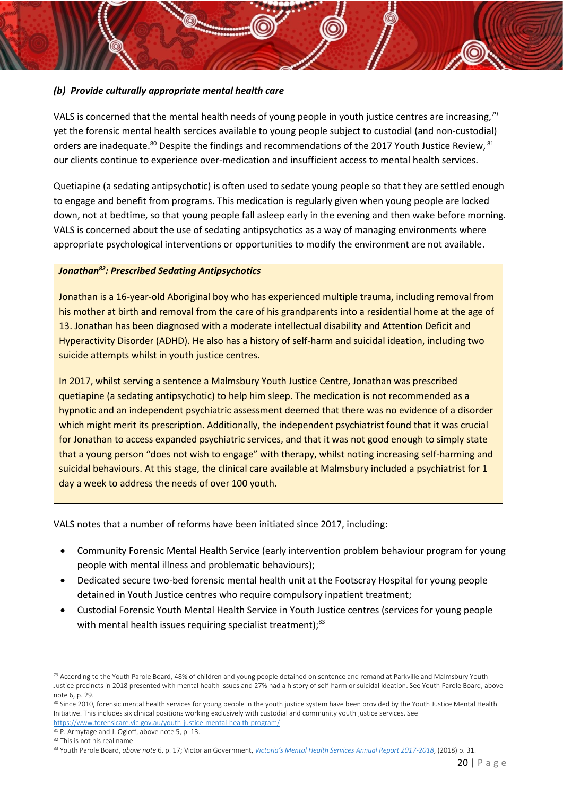## <span id="page-20-0"></span>*(b) Provide culturally appropriate mental health care*

VALS is concerned that the mental health needs of young people in youth justice centres are increasing,<sup>79</sup> yet the forensic mental health sercices available to young people subject to custodial (and non-custodial) orders are inadequate.<sup>80</sup> Despite the findings and recommendations of the 2017 Youth Justice Review, <sup>81</sup> our clients continue to experience over-medication and insufficient access to mental health services.

Quetiapine (a sedating antipsychotic) is often used to sedate young people so that they are settled enough to engage and benefit from programs. This medication is regularly given when young people are locked down, not at bedtime, so that young people fall asleep early in the evening and then wake before morning. VALS is concerned about the use of sedating antipsychotics as a way of managing environments where appropriate psychological interventions or opportunities to modify the environment are not available.

## *Jonathan<sup>82</sup>: Prescribed Sedating Antipsychotics*

Jonathan is a 16-year-old Aboriginal boy who has experienced multiple trauma, including removal from his mother at birth and removal from the care of his grandparents into a residential home at the age of 13. Jonathan has been diagnosed with a moderate intellectual disability and Attention Deficit and Hyperactivity Disorder (ADHD). He also has a history of self-harm and suicidal ideation, including two suicide attempts whilst in youth justice centres.

In 2017, whilst serving a sentence a Malmsbury Youth Justice Centre, Jonathan was prescribed quetiapine (a sedating antipsychotic) to help him sleep. The medication is not recommended as a hypnotic and an independent psychiatric assessment deemed that there was no evidence of a disorder which might merit its prescription. Additionally, the independent psychiatrist found that it was crucial for Jonathan to access expanded psychiatric services, and that it was not good enough to simply state that a young person "does not wish to engage" with therapy, whilst noting increasing self-harming and suicidal behaviours. At this stage, the clinical care available at Malmsbury included a psychiatrist for 1 day a week to address the needs of over 100 youth.

VALS notes that a number of reforms have been initiated since 2017, including:

- Community Forensic Mental Health Service (early intervention problem behaviour program for young people with mental illness and problematic behaviours);
- Dedicated secure two-bed forensic mental health unit at the Footscray Hospital for young people detained in Youth Justice centres who require compulsory inpatient treatment;
- Custodial Forensic Youth Mental Health Service in Youth Justice centres (services for young people with mental health issues requiring specialist treatment);<sup>83</sup>

**<sup>.</sup>** 79 According to the Youth Parole Board, 48% of children and young people detained on sentence and remand at Parkville and Malmsbury Youth Justice precincts in 2018 presented with mental health issues and 27% had a history of self-harm or suicidal ideation. See Youth Parole Board, above not[e 6,](#page-6-4) p. 29.

<sup>80</sup> Since 2010, forensic mental health services for young people in the youth justice system have been provided by the Youth Justice Mental Health Initiative. This includes six clinical positions working exclusively with custodial and community youth justice services. See <https://www.forensicare.vic.gov.au/youth-justice-mental-health-program/>

<sup>81</sup> P. Armytage and J. Ogloff, above not[e 5,](#page-6-3) p. 13.

<sup>82</sup> This is not his real name.

<sup>83</sup> Youth Parole Board, *above note* [6,](#page-6-4) p. 17; Victorian Government, *[Victoria's Mental Health Services Annual Report 2017](https://www2.health.vic.gov.au/mental-health/priorities-and-transformation/mental-health-annual-report)-2018*, (2018) p. 31.